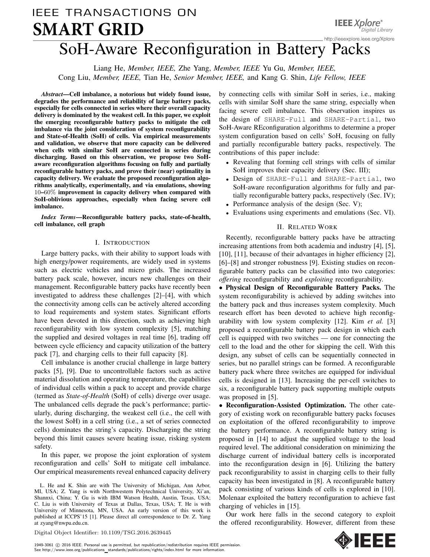# **IEEE TRANSACTIONS ON** IEEE TRANSACTIONS ON SMART GRID, VOL. X, NO. X, 2016. 1 SoH-Aware Reconfiguration in Battery Packs

Liang He, *Member, IEEE,* Zhe Yang, *Member, IEEE* Yu Gu, *Member, IEEE,* Cong Liu, *Member, IEEE,* Tian He, *Senior Member, IEEE,* and Kang G. Shin, *Life Fellow, IEEE*

*Abstract*—Cell imbalance, a notorious but widely found issue, degrades the performance and reliability of large battery packs, especially for cells connected in series where their overall capacity delivery is dominated by the weakest cell. In this paper, we exploit the emerging reconfigurable battery packs to mitigate the cell imbalance via the joint consideration of system reconfigurability and State-of-Health (SoH) of cells. Via empirical measurements and validation, we observe that more capacity can be delivered when cells with similar SoH are connected in series during discharging. Based on this observation, we propose two SoHaware reconfiguration algorithms focusing on fully and partially reconfigurable battery packs, and prove their (near) optimality in capacity delivery. We evaluate the proposed reconfiguration algorithms analytically, experimentally, and via emulations, showing 10–60% improvement in capacity delivery when compared with SoH-oblivious approaches, especially when facing severe cell imbalance.

*Index Terms*—Reconfigurable battery packs, state-of-health, cell imbalance, cell graph

## I. INTRODUCTION

Large battery packs, with their ability to support loads with high energy/power requirements, are widely used in systems such as electric vehicles and micro grids. The increased battery pack scale, however, incurs new challenges on their management. Reconfigurable battery packs have recently been investigated to address these challenges [2]–[4], with which the connectivity among cells can be actively altered according to load requirements and system states. Significant efforts have been devoted in this direction, such as achieving high reconfigurability with low system complexity [5], matching the supplied and desired voltages in real time [6], trading off between cycle efficiency and capacity utilization of the battery pack [7], and charging cells to their full capacity [8].

Cell imbalance is another crucial challenge in large battery packs [5], [9]. Due to uncontrollable factors such as active material dissolution and operating temperature, the capabilities of individual cells within a pack to accept and provide charge (termed as *State-of-Health* (SoH) of cells) diverge over usage. The unbalanced cells degrade the pack's performance; particularly, during discharging, the weakest cell (i.e., the cell with the lowest SoH) in a cell string (i.e., a set of series connected cells) dominates the string's capacity. Discharging the string beyond this limit causes severe heating issue, risking system safety.

In this paper, we propose the joint exploration of system reconfiguration and cells' SoH to mitigate cell imbalance. Our empirical measurements reveal enhanced capacity delivery

L. He and K. Shin are with The University of Michigan, Ann Arbor, MI, USA; Z. Yang is with Northwestern Polytechnical University, Xi'an, Shannxi, China; Y. Gu is with IBM Watson Health, Austin, Texas, USA; C. Liu is with University of Texas at Dallas, Texas, USA; T. He is with University of Minnesota, MN, USA. An early version of this work is published at ICCPS'15 [1]. Please direct all correspondence to Dr. Z. Yang at zyang@nwpu.edu.cn.

by connecting cells with similar SoH in series, i.e., making cells with similar SoH share the same string, especially when facing severe cell imbalance. This observation inspires us the design of SHARE-Full and SHARE-Partial, two SoH-Aware REconfiguration algorithms to determine a proper system configuration based on cells' SoH, focusing on fully and partially reconfigurable battery packs, respectively. The contributions of this paper include:

- Revealing that forming cell strings with cells of similar SoH improves their capacity delivery (Sec. III);
- Design of SHARE-Full and SHARE-Partial, two SoH-aware reconfiguration algorithms for fully and partially reconfigurable battery packs, respectively (Sec. IV);
- Performance analysis of the design (Sec. V);
- Evaluations using experiments and emulations (Sec. VI).

# II. RELATED WORK

Recently, reconfigurable battery packs have be attracting increasing attentions from both academia and industry [4], [5], [10], [11], because of their advantages in higher efficiency [2], [6]–[8] and stronger robustness [9]. Existing studies on reconfigurable battery packs can be classified into two categories: *offering* reconfigurability and *exploiting* reconfigurability.

• Physical Design of Reconfigurable Battery Packs. The system reconfigurability is achieved by adding switches into the battery pack and thus increases system complexity. Much research effort has been devoted to achieve high reconfigurability with low system complexity [12]. Kim *et al.* [3] proposed a reconfigurable battery pack design in which each cell is equipped with two switches — one for connecting the cell to the load and the other for skipping the cell. With this design, any subset of cells can be sequentially connected in series, but no parallel strings can be formed. A reconfigurable battery pack where three switches are equipped for individual cells is designed in [13]. Increasing the per-cell switches to six, a reconfigurable battery pack supporting multiple outputs was proposed in [5].

• Reconfiguration-Assisted Optimization. The other category of existing work on reconfigurable battery packs focuses on exploitation of the offered reconfigurability to improve the battery performance. A reconfigurable battery string is proposed in [14] to adjust the supplied voltage to the load required level. The additional consideration on minimizing the discharge current of individual battery cells is incorporated into the reconfiguration design in [6]. Utilizing the battery pack reconfigurability to assist in charging cells to their fully capacity has been investigated in [8]. A reconfigurable battery pack consisting of various kinds of cells is explored in [10]. Molenaar exploited the battery reconfiguration to achieve fast charging of vehicles in [15].

Our work here falls in the second category to exploit the offered reconfigurability. However, different from these



Digital Object Identifier: 10.1109/TSG.2016.2639445

1949-3061 © 2016 IEEE. Personal use is permitted, but republication/redistribution requires IEEE permission. See http://www.ieee.org/publications standards/publications/rights/index.html for more information.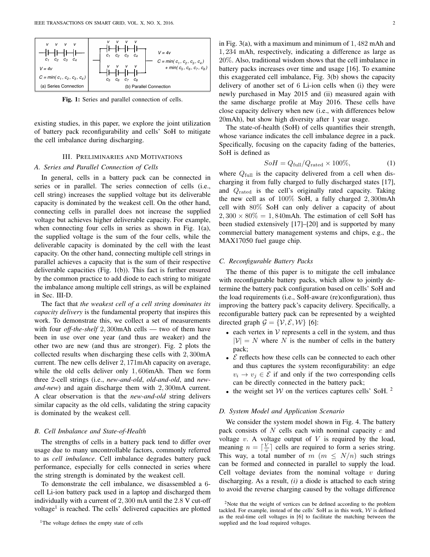

Fig. 1: Series and parallel connection of cells.

existing studies, in this paper, we explore the joint utilization of battery pack reconfigurability and cells' SoH to mitigate the cell imbalance during discharging.

## III. PRELIMINARIES AND MOTIVATIONS

## *A. Series and Parallel Connection of Cells*

In general, cells in a battery pack can be connected in series or in parallel. The series connection of cells (i.e., cell string) increases the supplied voltage but its deliverable capacity is dominated by the weakest cell. On the other hand, connecting cells in parallel does not increase the supplied voltage but achieves higher deliverable capacity. For example, when connecting four cells in series as shown in Fig. 1(a), the supplied voltage is the sum of the four cells, while the deliverable capacity is dominated by the cell with the least capacity. On the other hand, connecting multiple cell strings in parallel achieves a capacity that is the sum of their respective deliverable capacities (Fig. 1(b)). This fact is further ensured by the common practice to add diode to each string to mitigate the imbalance among multiple cell strings, as will be explained in Sec. III-D.

The fact that *the weakest cell of a cell string dominates its capacity delivery* is the fundamental property that inspires this work. To demonstrate this, we collect a set of measurements with four *off-the-shelf* 2, 300mAh cells — two of them have been in use over one year (and thus are weaker) and the other two are new (and thus are stronger). Fig. 2 plots the collected results when discharging these cells with 2, 300mA current. The new cells deliver 2, 171mAh capacity on average, while the old cells deliver only 1, 606mAh. Then we form three 2-cell strings (i.e., *new-and-old*, *old-and-old*, and *newand-new*) and again discharge them with 2, 300mA current. A clear observation is that the *new-and-old* string delivers similar capacity as the old cells, validating the string capacity is dominated by the weakest cell.

#### *B. Cell Imbalance and State-of-Health*

The strengths of cells in a battery pack tend to differ over usage due to many uncontrollable factors, commonly referred to as *cell imbalance*. Cell imbalance degrades battery pack performance, especially for cells connected in series where the string strength is dominated by the weakest cell.

To demonstrate the cell imbalance, we disassembled a 6 cell Li-ion battery pack used in a laptop and discharged them individually with a current of 2, 300 mA until the 2.8 V cut-off voltage<sup>1</sup> is reached. The cells' delivered capacities are plotted in Fig. 3(a), with a maximum and minimum of 1, 482 mAh and 1, 234 mAh, respectively, indicating a difference as large as 20%. Also, traditional wisdom shows that the cell imbalance in battery packs increases over time and usage [16]. To examine this exaggerated cell imbalance, Fig. 3(b) shows the capacity delivery of another set of 6 Li-ion cells when (i) they were newly purchased in May 2015 and (ii) measured again with the same discharge profile at May 2016. These cells have close capacity delivery when new (i.e., with differences below 20mAh), but show high diversity after 1 year usage.

The state-of-health (SoH) of cells quantifies their strength, whose variance indicates the cell imbalance degree in a pack. Specifically, focusing on the capacity fading of the batteries, SoH is defined as

$$
SoH = Q_{\text{full}}/Q_{\text{rated}} \times 100\%,\tag{1}
$$

where  $Q_{\text{full}}$  is the capacity delivered from a cell when discharging it from fully charged to fully discharged states [17], and  $Q_{\text{rated}}$  is the cell's originally rated capacity. Taking the new cell as of 100% SoH, a fully charged 2, 300mAh cell with 80% SoH can only deliver a capacity of about  $2,300 \times 80\% = 1,840$ mAh. The estimation of cell SoH has been studied extensively [17]–[20] and is supported by many commercial battery management systems and chips, e.g., the MAX17050 fuel gauge chip.

#### *C. Reconfigurable Battery Packs*

The theme of this paper is to mitigate the cell imbalance with reconfigurable battery packs, which allow to jointly determine the battery pack configuration based on cells' SoH and the load requirements (i.e., SoH-aware (re)configuration), thus improving the battery pack's capacity delivery. Specifically, a reconfigurable battery pack can be represented by a weighted directed graph  $\mathcal{G} = \{ \mathcal{V}, \mathcal{E}, \mathcal{W} \}$  [6]:

- each vertex in  $V$  represents a cell in the system, and thus  $|\mathcal{V}| = N$  where N is the number of cells in the battery pack;
- $\mathcal E$  reflects how these cells can be connected to each other and thus captures the system reconfigurability: an edge  $v_i \rightarrow v_j \in \mathcal{E}$  if and only if the two corresponding cells can be directly connected in the battery pack;
- the weight set  $W$  on the vertices captures cells' SoH. <sup>2</sup>

#### *D. System Model and Application Scenario*

We consider the system model shown in Fig. 4. The battery pack consists of N cells each with nominal capacity  $c$  and voltage  $v$ . A voltage output of  $V$  is required by the load, meaning  $n = \lceil \frac{V}{v} \rceil$  cells are required to form a series string. This way, a total number of  $m$  ( $m \leq N/n$ ) such strings can be formed and connected in parallel to supply the load. Cell voltage deviates from the nominal voltage  $v$  during discharging. As a result, *(i)* a diode is attached to each string to avoid the reverse charging caused by the voltage difference

<sup>2</sup>Note that the weight of vertices can be defined according to the problem tackled. For example, instead of the cells' SoH as in this work,  $W$  is defined as the real-time cell voltages in [6] to facilitate the matching between the supplied and the load required voltages.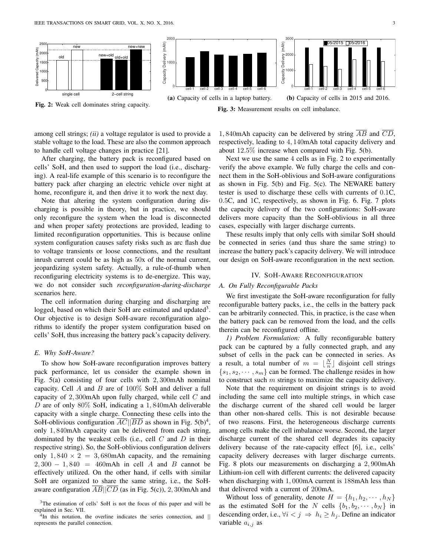

Fig. 3: Measurement results on cell imbalance.

among cell strings; *(ii)* a voltage regulator is used to provide a stable voltage to the load. These are also the common approach to handle cell voltage changes in practice [21].

After charging, the battery pack is reconfigured based on cells' SoH, and then used to support the load (i.e., discharging). A real-life example of this scenario is to reconfigure the battery pack after charging an electric vehicle over night at home, reconfigure it, and then drive it to work the next day.

Note that altering the system configuration during discharging is possible in theory, but in practice, we should only reconfigure the system when the load is disconnected and when proper safety protections are provided, leading to limited reconfiguration opportunities. This is because online system configuration causes safety risks such as arc flash due to voltage transients or loose connections, and the resultant inrush current could be as high as 50x of the normal current, jeopardizing system safety. Actually, a rule-of-thumb when reconfiguring electricity systems is to de-energize. This way, we do not consider such *reconfiguration-during-discharge* scenarios here.

The cell information during charging and discharging are logged, based on which their SoH are estimated and updated<sup>3</sup>. Our objective is to design SoH-aware reconfiguration algorithms to identify the proper system configuration based on cells' SoH, thus increasing the battery pack's capacity delivery.

## *E. Why SoH-Aware?*

To show how SoH-aware reconfiguration improves battery pack performance, let us consider the example shown in Fig. 5(a) consisting of four cells with 2, 300mAh nominal capacity. Cell  $A$  and  $B$  are of 100% SoH and deliver a full capacity of 2, 300mAh upon fully charged, while cell C and D are of only  $80\%$  SoH, indicating a 1,840mAh deliverable capacity with a single charge. Connecting these cells into the SoH-oblivious configuration  $\overline{AC}$  |  $\overline{BD}$  as shown in Fig. 5(b)<sup>4</sup>, only 1, 840mAh capacity can be delivered from each string, dominated by the weakest cells (i.e., cell  $C$  and  $D$  in their respective string). So, the SoH-oblivious configuration delivers only  $1,840 \times 2 = 3,680$ mAh capacity, and the remaining  $2,300 - 1,840 = 460$  mAh in cell A and B cannot be effectively utilized. On the other hand, if cells with similar SoH are organized to share the same string, i.e., the SoHaware configuration  $\overline{AB}$ || $\overline{CD}$  (as in Fig. 5(c)), 2, 300mAh and

1,840mAh capacity can be delivered by string  $\overline{AB}$  and  $\overline{CD}$ , respectively, leading to 4, 140mAh total capacity delivery and about 12.5% increase when compared with Fig. 5(b).

Next we use the same 4 cells as in Fig. 2 to experimentally verify the above example. We fully charge the cells and connect them in the SoH-oblivious and SoH-aware configurations as shown in Fig. 5(b) and Fig. 5(c). The NEWARE battery tester is used to discharge these cells with currents of 0.1C, 0.5C, and 1C, respectively, as shown in Fig. 6. Fig. 7 plots the capacity delivery of the two configurations: SoH-aware delivers more capacity than the SoH-oblivious in all three cases, especially with larger discharge currents.

These results imply that only cells with similar SoH should be connected in series (and thus share the same string) to increase the battery pack's capacity delivery. We will introduce our design on SoH-aware reconfiguration in the next section.

# IV. SOH-AWARE RECONFIGURATION

# *A. On Fully Reconfigurable Packs*

We first investigate the SoH-aware reconfiguration for fully reconfigurable battery packs, i.e., the cells in the battery pack can be arbitrarily connected. This, in practice, is the case when the battery pack can be removed from the load, and the cells therein can be reconfigured offline.

*1) Problem Formulation:* A fully reconfigurable battery pack can be captured by a fully connected graph, and any subset of cells in the pack can be connected in series. As a result, a total number of  $m = \lfloor \frac{N}{n} \rfloor$  disjoint cell strings  $\{s_1, s_2, \dots, s_m\}$  can be formed. The challenge resides in how to construct such  $m$  strings to maximize the capacity delivery.

Note that the requirement on disjoint strings is to avoid including the same cell into multiple strings, in which case the discharge current of the shared cell would be larger than other non-shared cells. This is not desirable because of two reasons. First, the heterogeneous discharge currents among cells make the cell imbalance worse. Second, the larger discharge current of the shared cell degrades its capacity delivery because of the rate-capacity effect [6], i.e., cells' capacity delivery decreases with larger discharge currents. Fig. 8 plots our measurements on discharging a 2, 900mAh Lithium-ion cell with different currents: the delivered capacity when discharging with 1, 000mA current is 188mAh less than that delivered with a current of 200mA.

Without loss of generality, denote  $H = \{h_1, h_2, \dots, h_N\}$ as the estimated SoH for the N cells  $\{b_1, b_2, \dots, b_N\}$  in descending order, i.e.,  $\forall i < j \Rightarrow h_i \geq h_j$ . Define an indicator variable  $a_{i,j}$  as

<sup>&</sup>lt;sup>3</sup>The estimation of cells' SoH is not the focus of this paper and will be explained in Sec. VII.

<sup>&</sup>lt;sup>4</sup>In this notation, the overline indicates the series connection, and || represents the parallel connection.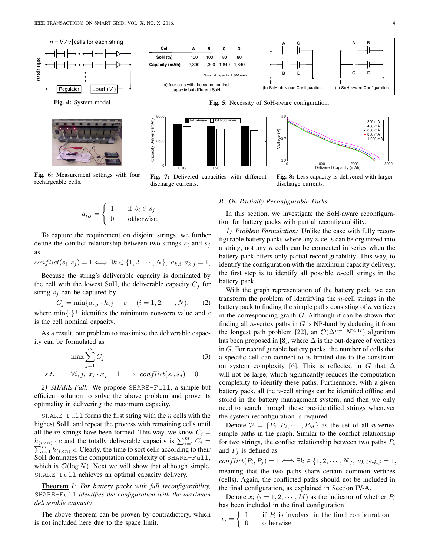

Fig. 4: System model.



Fig. 6: Measurement settings with four rechargeable cells.

$$
a_{i,j} = \begin{cases} 1 & \text{if } b_i \in s_j \\ 0 & \text{otherwise.} \end{cases}
$$

To capture the requirement on disjoint strings, we further define the conflict relationship between two strings  $s_i$  and  $s_j$ as

 $conflict(s_i, s_j) = 1 \Longleftrightarrow \exists k \in \{1, 2, \cdots, N\}, \ a_{k,i} \cdot a_{k,j} = 1,$ 

Because the string's deliverable capacity is dominated by the cell with the lowest SoH, the deliverable capacity  $C_j$  for string  $s_j$  can be captured by

 $C_j = \min\{a_{i,j} \cdot h_i\}^+ \cdot c \quad (i = 1, 2, \cdots, N),$  (2) where  $\min\{\cdot\}^+$  identifies the minimum non-zero value and c is the cell nominal capacity.

As a result, our problem to maximize the deliverable capacity can be formulated as

$$
\max \sum_{j=1}^{m} C_j
$$
\n
$$
s.t. \quad \forall i, j, \ x_i \cdot x_j = 1 \implies conflict(s_i, s_j) = 0.
$$
\n(3)

*2) SHARE-Full:* We propose SHARE-Full, a simple but efficient solution to solve the above problem and prove its optimality in delivering the maximum capacity.

SHARE-Full forms the first string with the *n* cells with the highest SoH, and repeat the process with remaining cells until all the m strings have been formed. This way, we know  $C_i$  =  $h_{(i \times n)} \cdot c$  and the totally deliverable capacity is  $\sum_{i=1}^{m}$  $\sum$  $\sum_{i=1}^{m} C_i$   $\sum_{i=1}^{m} C_i$  =  $\sum_{i=1}^{m} h_{(i \times n)}$   $\cdot$  C. Clearly, the time to sort cells according to their SoH dominates the computation complexity of SHARE-Full, which is  $\mathcal{O}(\log N)$ . Next we will show that although simple, SHARE-Full achieves an optimal capacity delivery.

Theorem *1: For battery packs with full reconfigurability,* SHARE-Full *identifies the configuration with the maximum deliverable capacity.*

The above theorem can be proven by contradictory, which is not included here due to the space limit.



Fig. 5: Necessity of SoH-aware configuration.



Fig. 7: Delivered capacities with different discharge currents.



Fig. 8: Less capacity is delivered with larger discharge currents.

## *B. On Partially Reconfigurable Packs*

In this section, we investigate the SoH-aware reconfiguration for battery packs with partial reconfigurability.

*1) Problem Formulation:* Unlike the case with fully reconfigurable battery packs where any  $n$  cells can be organized into a string, not any n cells can be connected in series when the battery pack offers only partial reconfigurability. This way, to identify the configuration with the maximum capacity delivery, the first step is to identify all possible *n*-cell strings in the battery pack.

With the graph representation of the battery pack, we can transform the problem of identifying the *n*-cell strings in the battery pack to finding the simple paths consisting of  $n$  vertices in the corresponding graph G. Although it can be shown that finding all *n*-vertex paths in  $G$  is NP-hard by deducing it from the longest path problem [22], an  $\mathcal{O}(\Delta^{n-1}N^{2.37})$  algorithm has been proposed in [8], where  $\Delta$  is the out-degree of vertices in G. For reconfigurable battery packs, the number of cells that a specific cell can connect to is limited due to the constraint on system complexity [6]. This is reflected in G that  $\Delta$ will not be large, which significantly reduces the computation complexity to identify these paths. Furthermore, with a given battery pack, all the  $n$ -cell strings can be identified offline and stored in the battery management system, and then we only need to search through these pre-identified strings whenever the system reconfiguration is required.

Denote  $\mathcal{P} = \{P_1, P_2, \cdots, P_M\}$  as the set of all *n*-vertex simple paths in the graph. Similar to the conflict relationship for two strings, the conflict relationship between two paths  $P_i$ and  $P_i$  is defined as

 $conflict(P_i, P_j) = 1 \Longleftrightarrow \exists k \in \{1, 2, \cdots, N\}, a_{k,i} \cdot a_{k,j} = 1,$ meaning that the two paths share certain common vertices (cells). Again, the conflicted paths should not be included in the final configuration, as explained in Section IV-A.

Denote  $x_i$   $(i = 1, 2, \dots, M)$  as the indicator of whether  $P_i$ has been included in the final configuration

 $x_i = \bigg\{$ 1 if  $P_i$  is involved in the final configuration 0 otherwise.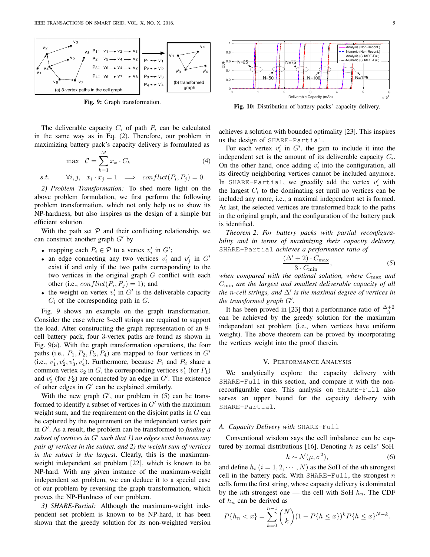

Fig. 9: Graph transformation.

The deliverable capacity  $C_i$  of path  $P_i$  can be calculated in the same way as in Eq. (2). Therefore, our problem in maximizing battery pack's capacity delivery is formulated as

$$
\max \quad C = \sum_{k=1}^{M} x_k \cdot C_k \tag{4}
$$

s.t. 
$$
\forall i, j, \quad x_i \cdot x_j = 1 \implies conflict(P_i, P_j) = 0.
$$

*2) Problem Transformation:* To shed more light on the above problem formulation, we first perform the following problem transformation, which not only help us to show its NP-hardness, but also inspires us the design of a simple but efficient solution.

With the path set  $P$  and their conflicting relationship, we can construct another graph  $G'$  by

- mapping each  $P_i \in \mathcal{P}$  to a vertex  $v'_i$  in  $G'$ ;
- an edge connecting any two vertices  $v'_i$  and  $v'_j$  in  $G'$ exist if and only if the two paths corresponding to the two vertices in the original graph  $G$  conflict with each other (i.e.,  $conflict(P_i, P_j) = 1$ ); and
- the weight on vertex  $v'_i$  in  $G'$  is the deliverable capacity  $C_i$  of the corresponding path in  $G$ .

Fig. 9 shows an example on the graph transformation. Consider the case where 3-cell strings are required to support the load. After constructing the graph representation of an 8 cell battery pack, four 3-vertex paths are found as shown in Fig. 9(a). With the graph transformation operations, the four paths (i.e.,  $P_1$ ,  $P_2$ ,  $P_3$ ,  $P_4$ ) are mapped to four vertices in  $G'$ (i.e.,  $v'_1, v'_2, v'_3, v'_4$ ). Furthermore, because  $P_1$  and  $P_2$  share a common vertex  $v_2$  in G, the corresponding vertices  $v'_1$  (for  $P_1$ ) and  $v_2'$  (for  $P_2$ ) are connected by an edge in  $G'$ . The existence of other edges in  $G'$  can be explained similarly.

With the new graph  $G'$ , our problem in (5) can be transformed to identify a subset of vertices in  $G'$  with the maximum weight sum, and the requirement on the disjoint paths in  $G$  can be captured by the requirement on the independent vertex pair in G′ . As a result, the problem can be transformed to *finding a subset of vertices in* G′ *such that 1) no edges exist between any pair of vertices in the subset, and 2) the weight sum of vertices in the subset is the largest*. Clearly, this is the maximumweight independent set problem [22], which is known to be NP-hard. With any given instance of the maximum-weight independent set problem, we can deduce it to a special case of our problem by reversing the graph transformation, which proves the NP-Hardness of our problem.

*3) SHARE-Partial:* Although the maximum-weight independent set problem is known to be NP-hard, it has been shown that the greedy solution for its non-weighted version



Fig. 10: Distribution of battery packs' capacity delivery.

achieves a solution with bounded optimality [23]. This inspires us the design of SHARE-Partial.

For each vertex  $v_i'$  in  $G'$ , the gain to include it into the independent set is the amount of its deliverable capacity  $C_i$ . On the other hand, once adding  $v_i'$  into the configuration, all its directly neighboring vertices cannot be included anymore. In SHARE-Partial, we greedily add the vertex  $v'_i$  with the largest  $C_i$  to the dominating set until no vertices can be included any more, i.e., a maximal independent set is formed. At last, the selected vertices are transformed back to the paths in the original graph, and the configuration of the battery pack is identified.

*Theorem 2: For battery packs with partial reconfigurability and in terms of maximizing their capacity delivery,* SHARE-Partial *achieves a performance ratio of*

$$
\frac{(\Delta' + 2) \cdot C_{\text{max}}}{3 \cdot C_{\text{min}}},\tag{5}
$$

*when compared with the optimal solution, where* Cmax *and* Cmin *are the largest and smallest deliverable capacity of all the* n*-cell strings, and* ∆′ *is the maximal degree of vertices in the transformed graph* G′ *.*

It has been proved in [23] that a performance ratio of  $\frac{\Delta+2}{3}$ can be achieved by the greedy solution for the maximum independent set problem (i.e., when vertices have uniform weight). The above theorem can be proved by incorporating the vertices weight into the proof therein.

#### V. PERFORMANCE ANALYSIS

We analytically explore the capacity delivery with SHARE-Full in this section, and compare it with the nonreconfigurable case. This analysis on SHARE-Full also serves an upper bound for the capacity delivery with SHARE-Partial.

# *A. Capacity Delivery with* SHARE-Full

Conventional wisdom says the cell imbalance can be captured by normal distributions [16]. Denoting  $h$  as cells' SoH

$$
h \sim \mathcal{N}(\mu, \sigma^2),\tag{6}
$$

and define  $h_i$   $(i = 1, 2, \dots, N)$  as the SoH of the *i*th strongest cell in the battery pack. With SHARE-Full, the strongest  $n$ cells form the first string, whose capacity delivery is dominated by the *n*th strongest one — the cell with SoH  $h_n$ . The CDF of  $h_n$  can be derived as

$$
P\{h_n < x\} = \sum_{k=0}^{n-1} \binom{N}{k} (1 - P\{h \le x\})^k P\{h \le x\}^{N-k}.
$$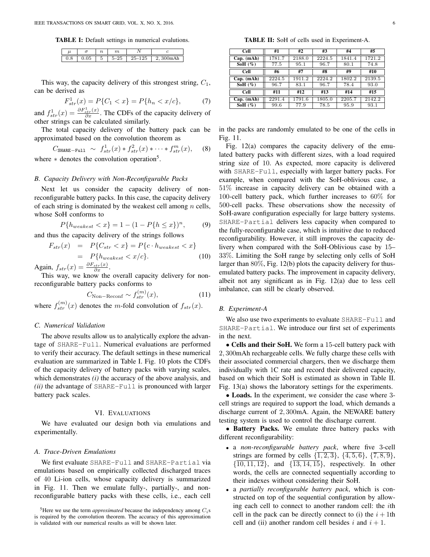TABLE I: Default settings in numerical evalutions.

| . . | о  | $\sim$<br>۰, |   | ◡ |
|-----|----|--------------|---|---|
|     | ۰. | υ            | ∽ |   |

This way, the capacity delivery of this strongest string,  $C_1$ , can be derived as

$$
F_{str}^1(x) = P\{C_1 < x\} = P\{h_n < x/c\},\tag{7}
$$

and  $f_{str}^1(x) = \frac{\partial F_{str}^1(x)}{\partial x}$ . The CDFs of the capacity delivery of other strings can be calculated similarly.

The total capacity delivery of the battery pack can be approximated based on the convolution theorem as

$$
C_{\text{SHARE-Full}} \sim f_{str}^1(x) * f_{str}^2(x) * \cdots * f_{str}^m(x), \quad (8)
$$
  
where \* denotes the convolution operation<sup>5</sup>.

# *B. Capacity Delivery with Non-Reconfigurable Packs*

Next let us consider the capacity delivery of nonreconfigurable battery packs. In this case, the capacity delivery of each string is dominated by the weakest cell among  $n$  cells, whose SoH conforms to

$$
P\{h_{weakest} < x\} = 1 - (1 - P\{h \le x\})^n, \tag{9}
$$

and thus the capacity delivery of the strings follows

$$
F_{str}(x) = P\{C_{str} < x\} = P\{c \cdot h_{weakest} < x\}
$$
\n
$$
= P\{h_{weakest} < x/c\}. \tag{10}
$$

Again,  $f_{str}(x) = \frac{\partial F_{str}(x)}{\partial x}$ .

This way, we know the overall capacity delivery for nonreconfigurable battery packs conforms to

$$
C_{\text{Non-Reconf}} \sim f_{str}^{(m)}(x),\tag{11}
$$

where  $f_{str}^{(m)}(x)$  denotes the m-fold convolution of  $f_{str}(x)$ .

## *C. Numerical Validation*

The above results allow us to analytically explore the advantage of SHARE-Full. Numerical evaluations are performed to verify their accuracy. The default settings in these numerical evaluation are summarized in Table I. Fig. 10 plots the CDFs of the capacity delivery of battery packs with varying scales, which demonstrates *(i)* the accuracy of the above analysis, and *(ii)* the advantage of SHARE-Full is pronounced with larger battery pack scales.

## VI. EVALUATIONS

We have evaluated our design both via emulations and experimentally.

## *A. Trace-Driven Emulations*

We first evaluate SHARE-Full and SHARE-Partial via emulations based on empirically collected discharged traces of 40 Li-ion cells, whose capacity delivery is summarized in Fig. 11. Then we emulate fully-, partially-, and nonreconfigurable battery packs with these cells, i.e., each cell

TABLE II: SoH of cells used in Experiment-A.

| Cell                         | #1     | #2     | #3     | #4     | #5     |
|------------------------------|--------|--------|--------|--------|--------|
| $Cap.$ $(mAh)$               | 1781.7 | 2188.0 | 2224.5 | 1841.4 | 1721.2 |
| SoH $(\%)$                   | 77.5   | 95.1   | 96.7   | 80.1   | 74.8   |
| Cell                         | #6     | #7     | #8     | #9     | #10    |
| $Cap.$ $(mAh)$               | 2224.5 | 1911.2 | 2224.2 | 1802.2 | 2139.5 |
| SoH $(\%)$                   | 96.7   | 83.1   | 96.7   | 78.4   | 93.0   |
| <b>Cell</b>                  | #11    | #12    | #13    | #14    | #15    |
| $Cap.$ $(mAh)$               | 2291.4 | 1791.6 | 1805.0 | 2205.7 | 2142.2 |
| $\overline{\text{Soft}}(\%)$ | 99.6   | 77.9   | 78.5   | 95.9   | 93.1   |

in the packs are randomly emulated to be one of the cells in Fig. 11.

Fig. 12(a) compares the capacity delivery of the emulated battery packs with different sizes, with a load required string size of 10. As expected, more capacity is delivered with SHARE-Full, especially with larger battery packs. For example, when compared with the SoH-oblivious case, a 51% increase in capacity delivery can be obtained with a 100-cell battery pack, which further increases to 60% for 500-cell packs. These observations show the necessity of SoH-aware configuration especially for large battery systems. SHARE-Partial delivers less capacity when compared to the fully-reconfigurable case, which is intuitive due to reduced reconfigurability. However, it still improves the capacity delivery when compared with the SoH-Oblivious case by 15– 33%. Limiting the SoH range by selecting only cells of SoH larger than 80%, Fig. 12(b) plots the capacity delivery for thusemulated battery packs. The improvement in capacity delivery, albeit not any significant as in Fig. 12(a) due to less cell imbalance, can still be clearly observed.

## *B. Experiment-A*

We also use two experiments to evaluate SHARE-Full and SHARE-Partial. We introduce our first set of experiments in the next.

• Cells and their SoH. We form a 15-cell battery pack with 2, 300mAh rechargeable cells. We fully charge these cells with their associated commercial chargers, then we discharge them individually with 1C rate and record their delivered capacity, based on which their SoH is estimated as shown in Table II. Fig. 13(a) shows the laboratory settings for the experiments.

• Loads. In the experiment, we consider the case where 3 cell strings are required to support the load, which demands a discharge current of 2, 300mA. Again, the NEWARE battery testing system is used to control the discharge current.

• Battery Packs. We emulate three battery packs with different reconfigurability:

- a *non-reconfigurable battery pack*, where five 3-cell strings are formed by cells  $\{1, 2, 3\}$ ,  $\{4, 5, 6\}$ ,  $\{7, 8, 9\}$ ,  $\{\overline{10, 11, 12}\}\$ , and  $\{\overline{13, 14, 15}\}\$ , respectively. In other words, the cells are connected sequentially according to their indexes without considering their SoH.
- a *partially reconfigurable battery pack*, which is constructed on top of the sequential configuration by allowing each cell to connect to another random cell: the ith cell in the pack can be directly connect to (i) the  $i + 1$ th cell and (ii) another random cell besides i and  $i + 1$ .

<sup>&</sup>lt;sup>5</sup>Here we use the term *approximated* because the independency among  $C_i$ s is required by the convolution theorem. The accuracy of this approximation is validated with our numerical results as will be shown later.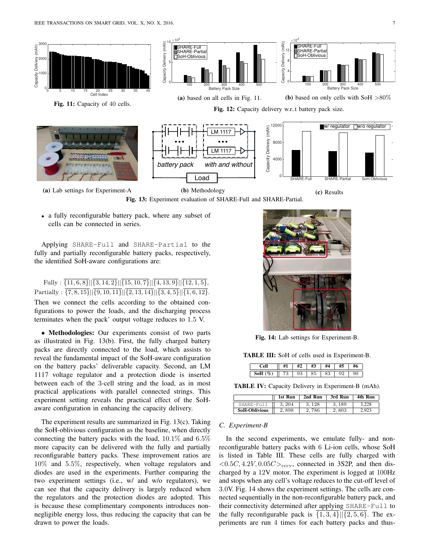

(a) Lab settings for Experiment-A

Fig. 13: Experiment evaluation of SHARE-Full and SHARE-Partial.

(c) Results

• a fully reconfigurable battery pack, where any subset of cells can be connected in series.

Applying SHARE-Full and SHARE-Partial to the fully and partially reconfigurable battery packs, respectively, the identified SoH-aware configurations are:

Fully :  $\overline{\{11, 6, 8\}}$   $\overline{\{3, 14, 2\}}$   $\overline{\{15, 10, 7\}}$   $\overline{\{4, 13, 9\}}$   $\overline{\{12, 1, 5\}}$ , Partially :  $\overline{\{7,8,15\}}$ || $\overline{\{9,10,11\}}$ || $\overline{\{2,13,14\}}$ || $\overline{\{3,4,5\}}$ || $\overline{\{1,6,12\}}$ . Then we connect the cells according to the obtained configurations to power the loads, and the discharging process terminates when the pack' output voltage reduces to 1.5 V.

• Methodologies: Our experiments consist of two parts as illustrated in Fig. 13(b). First, the fully charged battery packs are directly connected to the load, which assists to reveal the fundamental impact of the SoH-aware configuration on the battery packs' deliverable capacity. Second, an LM 1117 voltage regulator and a protection diode is inserted between each of the 3-cell string and the load, as in most practical applications with parallel connected strings. This experiment setting reveals the practical effect of the SoHaware configuration in enhancing the capacity delivery.

The experiment results are summarized in Fig. 13(c). Taking the SoH-oblivious configuration as the baseline, when directly connecting the battery packs with the load,  $10.1\%$  and  $6.5\%$ more capacity can be delivered with the fully and partially reconfigurable battery packs. These improvement ratios are 10% and 5.5%, respectively, when voltage regulators and diodes are used in the experiments. Further comparing the two experiment settings (i.e., w/ and w/o regulators), we can see that the capacity delivery is largely reduced when the regulators and the protection diodes are adopted. This is because these complimentary components introduces nonnegligible energy loss, thus reducing the capacity that can be drawn to power the loads.



Fig. 14: Lab settings for Experiment-B.

TABLE III: SoH of cells used in Experiment-B.

|                 |   | $\mathbf{u}$<br>υ | ٠               | $\cdots$<br>n J |  |
|-----------------|---|-------------------|-----------------|-----------------|--|
| $\epsilon$<br>υ | u |                   | $\epsilon$<br>∽ |                 |  |

TABLE IV: Capacity Delivery in Experiment-B (mAh).

|                      | 1st Run | 2nd Run | 3rd Run | 4th Run |
|----------------------|---------|---------|---------|---------|
| SHARE-Full           | 3.204   | 3.128   | 3.189   | 3.228   |
| <b>SoH-Oblivious</b> | 2.898   | 2.786   | 2.803   | 2.923   |

## *C. Experiment-B*

In the second experiments, we emulate fully- and nonreconfigurable battery packs with 6 Li-ion cells, whose SoH is listed in Table III. These cells are fully charged with  $\langle 0.5C, 4.2V, 0.05C \rangle_{\text{cccv}}$ , connected in 3S2P, and then discharged by a 12V motor. The experiment is logged at 100Hz and stops when any cell's voltage reduces to the cut-off level of 3.0V. Fig. 14 shows the experiment settings. The cells are connected sequentially in the non-reconfigurable battery pack, and their connectivity determined after applying SHARE-Full to the fully reconfigurable pack is  $\{1, 3, 4\}$ || $\{2, 5, 6\}$ . The experiments are run 4 times for each battery packs and thus-